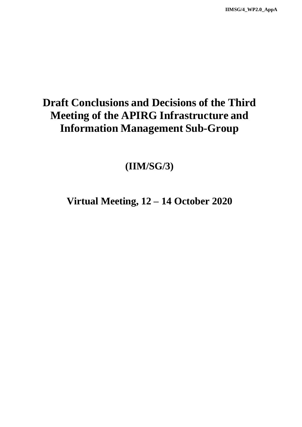## **Draft Conclusions and Decisions of the Third Meeting of the APIRG Infrastructure and Information Management Sub-Group**

**(IIM/SG/3)**

**Virtual Meeting, 12 – 14 October 2020**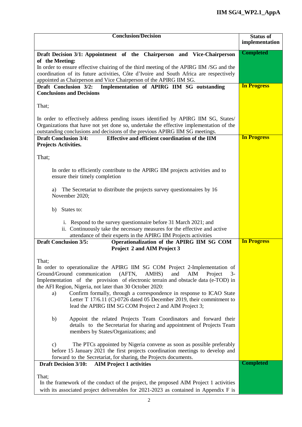| <b>Conclusion/Decision</b>                                                                                                                                                   | <b>Status of</b>   |
|------------------------------------------------------------------------------------------------------------------------------------------------------------------------------|--------------------|
|                                                                                                                                                                              | implementation     |
| Draft Decision 3/1: Appointment of the Chairperson and Vice-Chairperson                                                                                                      | <b>Completed</b>   |
| of the Meeting:                                                                                                                                                              |                    |
| In order to ensure effective chairing of the third meeting of the APIRG IIM /SG and the                                                                                      |                    |
| coordination of its future activities, Côte d'Ivoire and South Africa are respectively                                                                                       |                    |
| appointed as Chairperson and Vice Chairperson of the APIRG IIM SG.                                                                                                           |                    |
| Implementation of APIRG IIM SG outstanding<br>Draft Conclusion 3/2:                                                                                                          | <b>In Progress</b> |
| <b>Conclusions and Decisions</b>                                                                                                                                             |                    |
|                                                                                                                                                                              |                    |
| That;                                                                                                                                                                        |                    |
|                                                                                                                                                                              |                    |
| In order to effectively address pending issues identified by APIRG IIM SG, States/<br>Organizations that have not yet done so, undertake the effective implementation of the |                    |
| outstanding conclusions and decisions of the previous APIRG IIM SG meetings.                                                                                                 |                    |
| <b>Draft Conclusion 3/4:</b><br>Effective and efficient coordination of the IIM                                                                                              | <b>In Progress</b> |
| <b>Projects Activities.</b>                                                                                                                                                  |                    |
|                                                                                                                                                                              |                    |
| That;                                                                                                                                                                        |                    |
|                                                                                                                                                                              |                    |
| In order to efficiently contribute to the APIRG IIM projects activities and to                                                                                               |                    |
| ensure their timely completion                                                                                                                                               |                    |
|                                                                                                                                                                              |                    |
| The Secretariat to distribute the projects survey questionnaires by 16<br>a)                                                                                                 |                    |
| November 2020;                                                                                                                                                               |                    |
| States to:<br>b)                                                                                                                                                             |                    |
|                                                                                                                                                                              |                    |
| i. Respond to the survey questionnaire before 31 March 2021; and                                                                                                             |                    |
| ii. Continuously take the necessary measures for the effective and active                                                                                                    |                    |
| attendance of their experts in the APIRG IIM Projects activities                                                                                                             |                    |
| <b>Draft Conclusion 3/5:</b><br>Operationalization of the APIRG IIM SG COM                                                                                                   | <b>In Progress</b> |
| Project 2 and AIM Project 3                                                                                                                                                  |                    |
|                                                                                                                                                                              |                    |
| That;<br>In order to operationalize the APIRG IIM SG COM Project 2-Implementation of                                                                                         |                    |
| Ground/Ground communication<br>(AFTN,<br>AMHS)<br>and<br>AIM<br>Project<br>$3-$                                                                                              |                    |
| Implementation of the provision of electronic terrain and obstacle data (e-TOD) in                                                                                           |                    |
| the AFI Region, Nigeria, not later than 30 October 2020:                                                                                                                     |                    |
| Confirm formally, through a correspondence in response to ICAO State<br>a)                                                                                                   |                    |
| Letter T 17/6.11 (C)-0726 dated 05 December 2019, their commitment to                                                                                                        |                    |
| lead the APIRG IIM SG COM Project 2 and AIM Project 3;                                                                                                                       |                    |
|                                                                                                                                                                              |                    |
| Appoint the related Projects Team Coordinators and forward their<br>b)                                                                                                       |                    |
| details to the Secretariat for sharing and appointment of Projects Team                                                                                                      |                    |
| members by States/Organizations; and                                                                                                                                         |                    |
| The PTCs appointed by Nigeria convene as soon as possible preferably<br>$\mathbf{c})$                                                                                        |                    |
| before 15 January 2021 the first projects coordination meetings to develop and                                                                                               |                    |
| forward to the Secretariat, for sharing, the Projects documents.                                                                                                             |                    |
| <b>AIM Project 1 activities</b><br><b>Draft Decision 3/10:</b>                                                                                                               | <b>Completed</b>   |
|                                                                                                                                                                              |                    |
| That;                                                                                                                                                                        |                    |
| In the framework of the conduct of the project, the proposed AIM Project 1 activities                                                                                        |                    |
| with its associated project deliverables for 2021-2023 as contained in Appendix F is                                                                                         |                    |